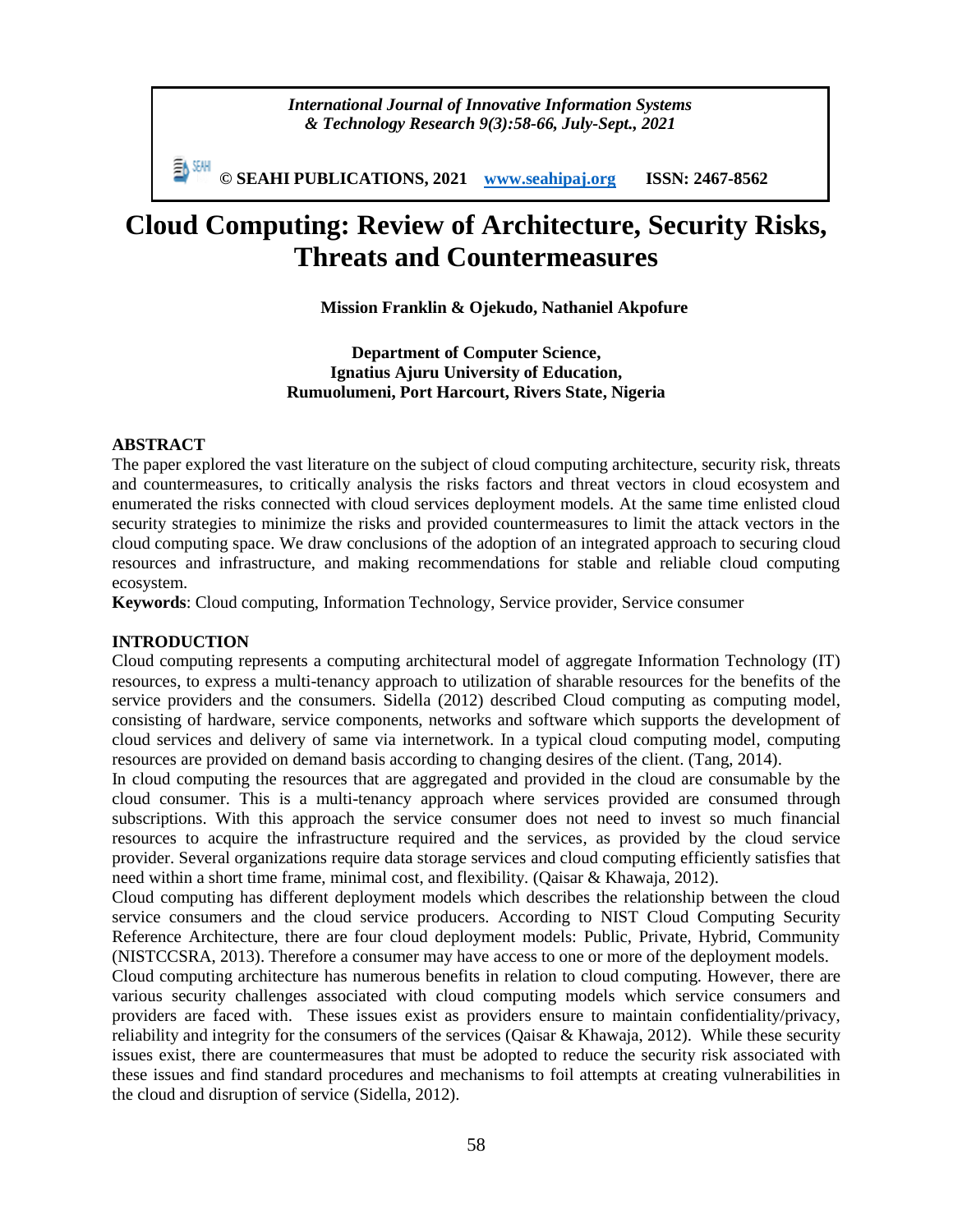*International Journal of Innovative Information Systems & Technology Research 9(3):58-66, July-Sept., 2021*

**© SEAHI PUBLICATIONS, 2021 [www.seahipaj.org](http://www.seahipaj.org/) ISSN: 2467-8562**

# **Cloud Computing: Review of Architecture, Security Risks, Threats and Countermeasures**

**Mission Franklin & Ojekudo, Nathaniel Akpofure**

**Department of Computer Science, Ignatius Ajuru University of Education, Rumuolumeni, Port Harcourt, Rivers State, Nigeria**

#### **ABSTRACT**

The paper explored the vast literature on the subject of cloud computing architecture, security risk, threats and countermeasures, to critically analysis the risks factors and threat vectors in cloud ecosystem and enumerated the risks connected with cloud services deployment models. At the same time enlisted cloud security strategies to minimize the risks and provided countermeasures to limit the attack vectors in the cloud computing space. We draw conclusions of the adoption of an integrated approach to securing cloud resources and infrastructure, and making recommendations for stable and reliable cloud computing ecosystem.

**Keywords**: Cloud computing, Information Technology, Service provider, Service consumer

## **INTRODUCTION**

Cloud computing represents a computing architectural model of aggregate Information Technology (IT) resources, to express a multi-tenancy approach to utilization of sharable resources for the benefits of the service providers and the consumers. Sidella (2012) described Cloud computing as computing model, consisting of hardware, service components, networks and software which supports the development of cloud services and delivery of same via internetwork. In a typical cloud computing model, computing resources are provided on demand basis according to changing desires of the client. (Tang, 2014).

In cloud computing the resources that are aggregated and provided in the cloud are consumable by the cloud consumer. This is a multi-tenancy approach where services provided are consumed through subscriptions. With this approach the service consumer does not need to invest so much financial resources to acquire the infrastructure required and the services, as provided by the cloud service provider. Several organizations require data storage services and cloud computing efficiently satisfies that need within a short time frame, minimal cost, and flexibility. (Qaisar & Khawaja, 2012).

Cloud computing has different deployment models which describes the relationship between the cloud service consumers and the cloud service producers. According to NIST Cloud Computing Security Reference Architecture, there are four cloud deployment models: Public, Private, Hybrid, Community (NISTCCSRA, 2013). Therefore a consumer may have access to one or more of the deployment models.

Cloud computing architecture has numerous benefits in relation to cloud computing. However, there are various security challenges associated with cloud computing models which service consumers and providers are faced with. These issues exist as providers ensure to maintain confidentiality/privacy, reliability and integrity for the consumers of the services (Qaisar & Khawaja, 2012). While these security issues exist, there are countermeasures that must be adopted to reduce the security risk associated with these issues and find standard procedures and mechanisms to foil attempts at creating vulnerabilities in the cloud and disruption of service (Sidella, 2012).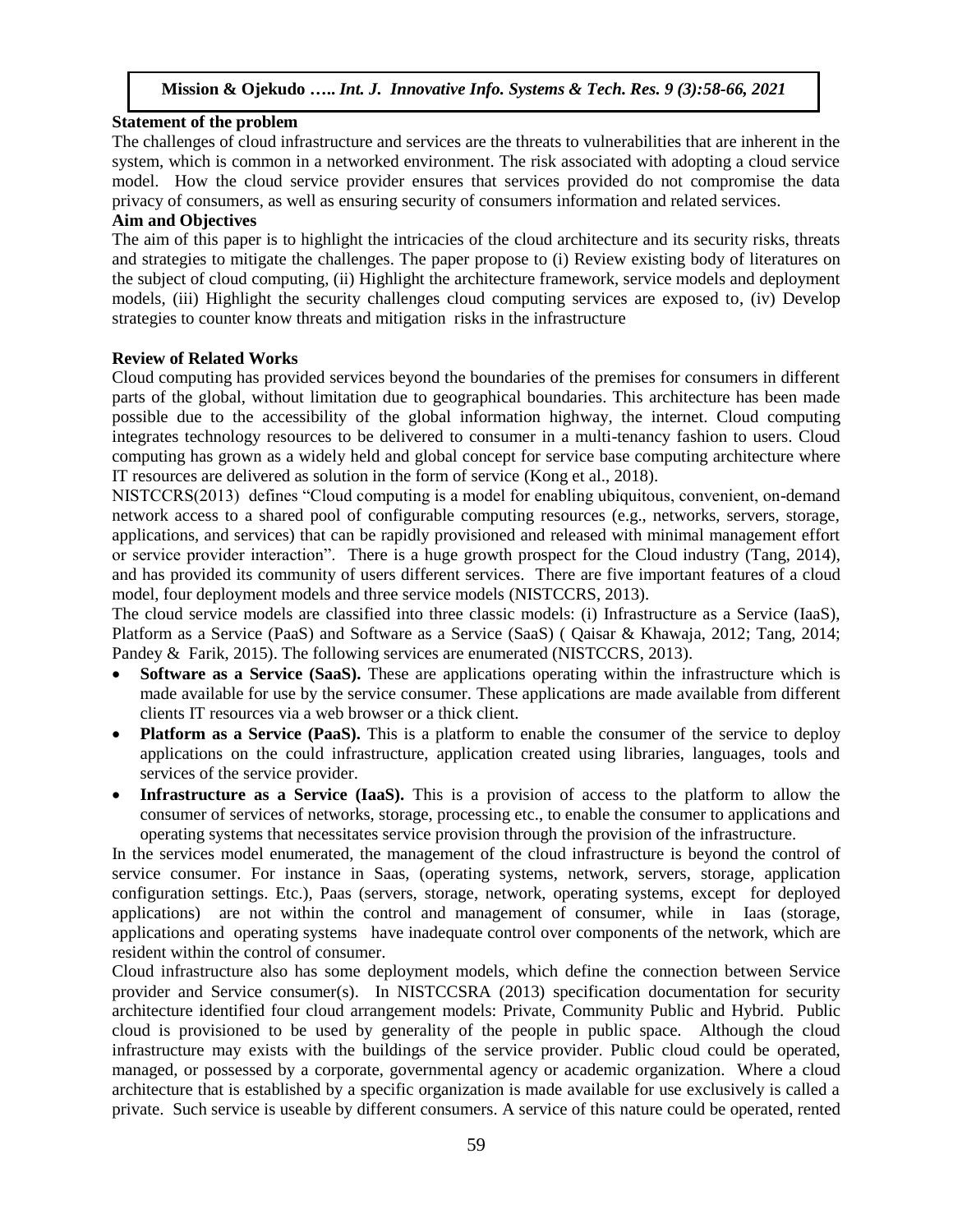# **Statement of the problem**

The challenges of cloud infrastructure and services are the threats to vulnerabilities that are inherent in the system, which is common in a networked environment. The risk associated with adopting a cloud service model. How the cloud service provider ensures that services provided do not compromise the data privacy of consumers, as well as ensuring security of consumers information and related services.

## **Aim and Objectives**

The aim of this paper is to highlight the intricacies of the cloud architecture and its security risks, threats and strategies to mitigate the challenges. The paper propose to (i) Review existing body of literatures on the subject of cloud computing, (ii) Highlight the architecture framework, service models and deployment models, (iii) Highlight the security challenges cloud computing services are exposed to, (iv) Develop strategies to counter know threats and mitigation risks in the infrastructure

# **Review of Related Works**

Cloud computing has provided services beyond the boundaries of the premises for consumers in different parts of the global, without limitation due to geographical boundaries. This architecture has been made possible due to the accessibility of the global information highway, the internet. Cloud computing integrates technology resources to be delivered to consumer in a multi-tenancy fashion to users. Cloud computing has grown as a widely held and global concept for service base computing architecture where IT resources are delivered as solution in the form of service (Kong et al., 2018).

NISTCCRS(2013) defines "Cloud computing is a model for enabling ubiquitous, convenient, on-demand network access to a shared pool of configurable computing resources (e.g., networks, servers, storage, applications, and services) that can be rapidly provisioned and released with minimal management effort or service provider interaction". There is a huge growth prospect for the Cloud industry (Tang, 2014), and has provided its community of users different services. There are five important features of a cloud model, four deployment models and three service models (NISTCCRS, 2013).

The cloud service models are classified into three classic models: (i) Infrastructure as a Service (IaaS), Platform as a Service (PaaS) and Software as a Service (SaaS) ( Qaisar & Khawaja, 2012; Tang, 2014; Pandey & Farik, 2015). The following services are enumerated (NISTCCRS, 2013).

- **Software as a Service (SaaS).** These are applications operating within the infrastructure which is made available for use by the service consumer. These applications are made available from different clients IT resources via a web browser or a thick client.
- **Platform as a Service (PaaS).** This is a platform to enable the consumer of the service to deploy applications on the could infrastructure, application created using libraries, languages, tools and services of the service provider.
- **Infrastructure as a Service (IaaS).** This is a provision of access to the platform to allow the consumer of services of networks, storage, processing etc., to enable the consumer to applications and operating systems that necessitates service provision through the provision of the infrastructure.

In the services model enumerated, the management of the cloud infrastructure is beyond the control of service consumer. For instance in Saas, (operating systems, network, servers, storage, application configuration settings. Etc.), Paas (servers, storage, network, operating systems, except for deployed applications) are not within the control and management of consumer, while in Iaas (storage, applications and operating systems have inadequate control over components of the network, which are resident within the control of consumer.

Cloud infrastructure also has some deployment models, which define the connection between Service provider and Service consumer(s). In NISTCCSRA (2013) specification documentation for security architecture identified four cloud arrangement models: Private, Community Public and Hybrid. Public cloud is provisioned to be used by generality of the people in public space. Although the cloud infrastructure may exists with the buildings of the service provider. Public cloud could be operated, managed, or possessed by a corporate, governmental agency or academic organization. Where a cloud architecture that is established by a specific organization is made available for use exclusively is called a private. Such service is useable by different consumers. A service of this nature could be operated, rented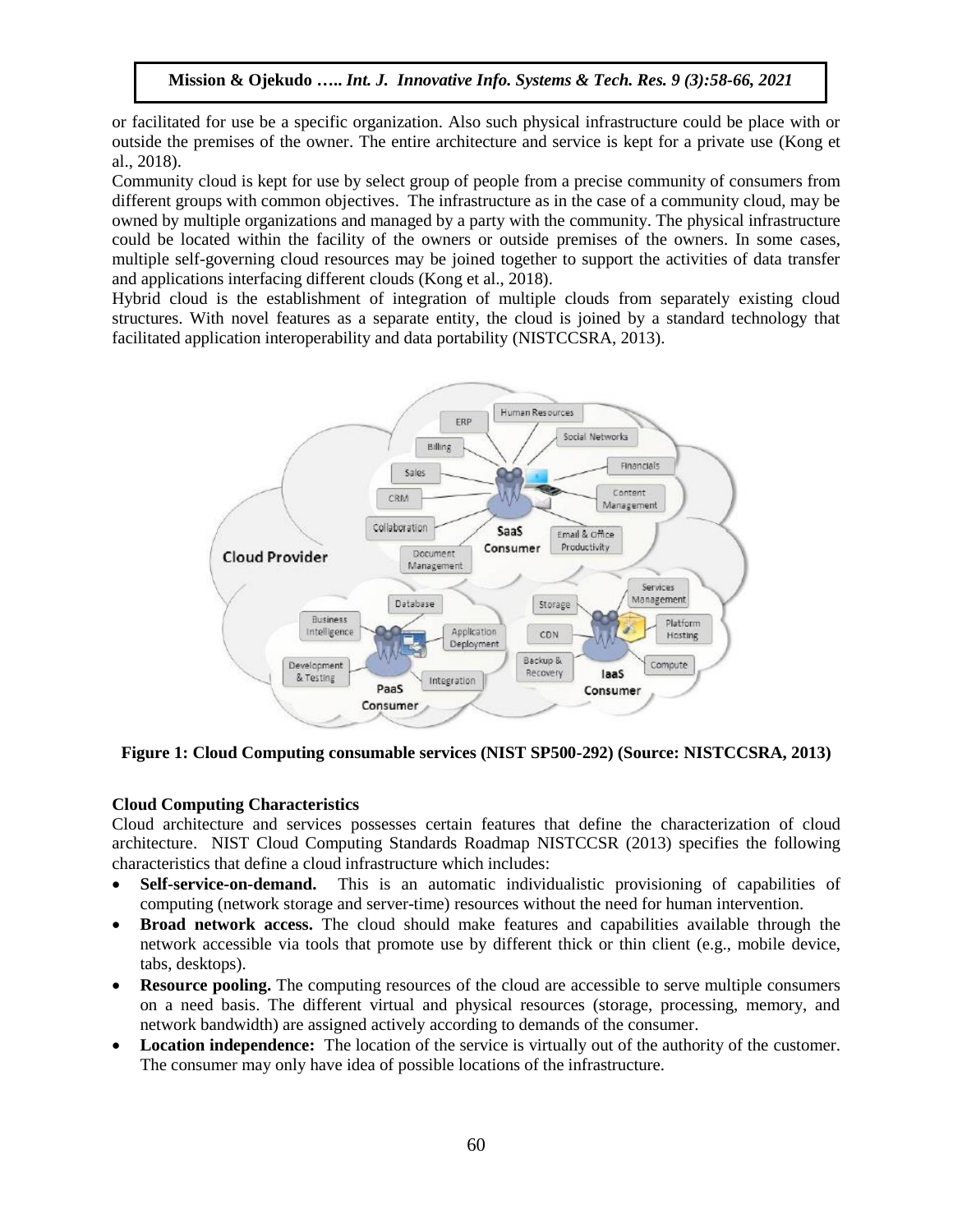or facilitated for use be a specific organization. Also such physical infrastructure could be place with or outside the premises of the owner. The entire architecture and service is kept for a private use (Kong et al., 2018).

Community cloud is kept for use by select group of people from a precise community of consumers from different groups with common objectives. The infrastructure as in the case of a community cloud, may be owned by multiple organizations and managed by a party with the community. The physical infrastructure could be located within the facility of the owners or outside premises of the owners. In some cases, multiple self-governing cloud resources may be joined together to support the activities of data transfer and applications interfacing different clouds (Kong et al., 2018).

Hybrid cloud is the establishment of integration of multiple clouds from separately existing cloud structures. With novel features as a separate entity, the cloud is joined by a standard technology that facilitated application interoperability and data portability (NISTCCSRA, 2013).



**Figure 1: Cloud Computing consumable services (NIST SP500-292) (Source: NISTCCSRA, 2013)**

# **Cloud Computing Characteristics**

Cloud architecture and services possesses certain features that define the characterization of cloud architecture. NIST Cloud Computing Standards Roadmap NISTCCSR (2013) specifies the following characteristics that define a cloud infrastructure which includes:

- **Self-service-on-demand.** This is an automatic individualistic provisioning of capabilities of computing (network storage and server-time) resources without the need for human intervention.
- **Broad network access.** The cloud should make features and capabilities available through the network accessible via tools that promote use by different thick or thin client (e.g., mobile device, tabs, desktops).
- **Resource pooling.** The computing resources of the cloud are accessible to serve multiple consumers on a need basis. The different virtual and physical resources (storage, processing, memory, and network bandwidth) are assigned actively according to demands of the consumer.
- **Location independence:** The location of the service is virtually out of the authority of the customer. The consumer may only have idea of possible locations of the infrastructure.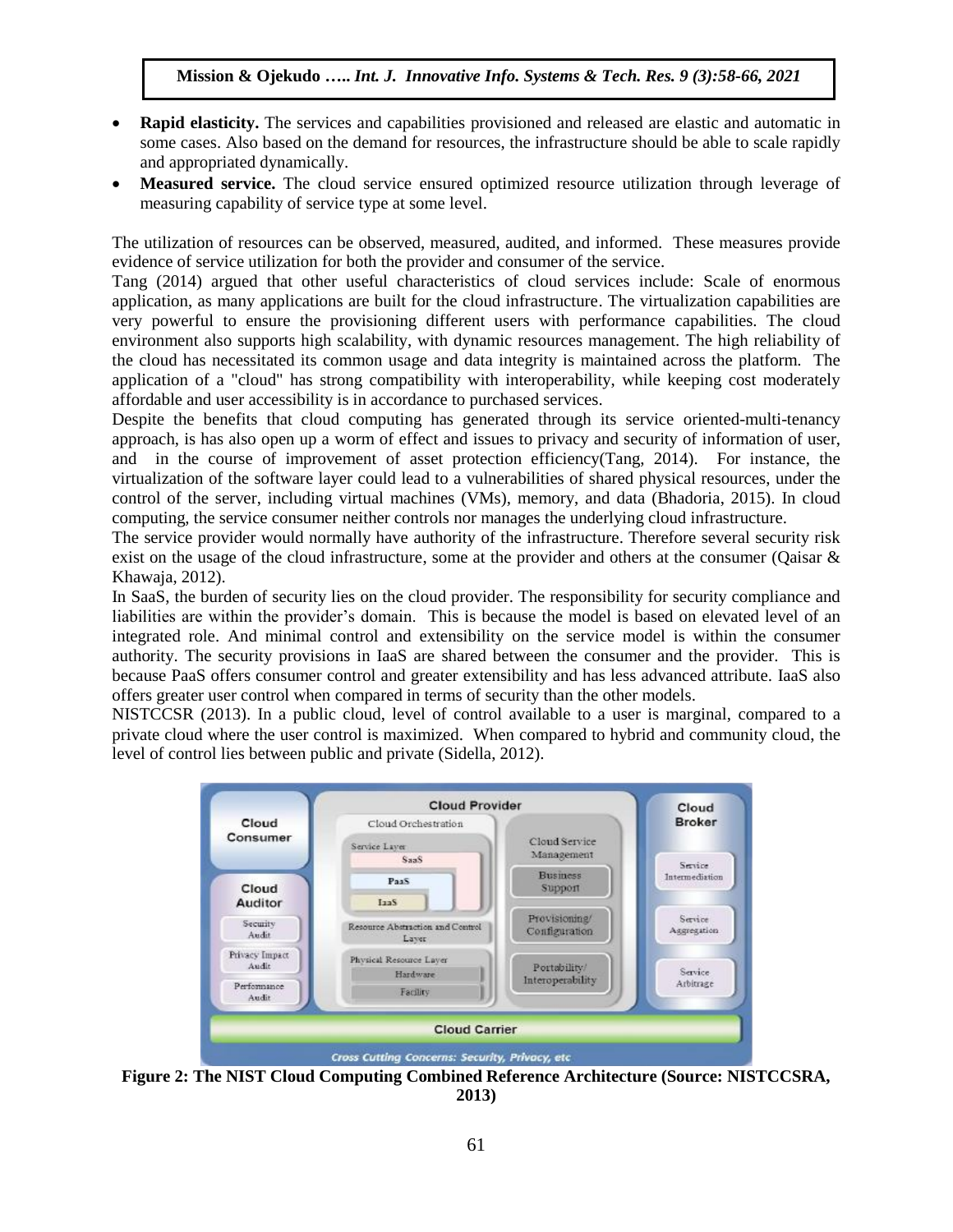- **Rapid elasticity.** The services and capabilities provisioned and released are elastic and automatic in some cases. Also based on the demand for resources, the infrastructure should be able to scale rapidly and appropriated dynamically.
- **Measured service.** The cloud service ensured optimized resource utilization through leverage of measuring capability of service type at some level.

The utilization of resources can be observed, measured, audited, and informed. These measures provide evidence of service utilization for both the provider and consumer of the service.

Tang (2014) argued that other useful characteristics of cloud services include: Scale of enormous application, as many applications are built for the cloud infrastructure. The virtualization capabilities are very powerful to ensure the provisioning different users with performance capabilities. The cloud environment also supports high scalability, with dynamic resources management. The high reliability of the cloud has necessitated its common usage and data integrity is maintained across the platform. The application of a "cloud" has strong compatibility with interoperability, while keeping cost moderately affordable and user accessibility is in accordance to purchased services.

Despite the benefits that cloud computing has generated through its service oriented-multi-tenancy approach, is has also open up a worm of effect and issues to privacy and security of information of user, and in the course of improvement of asset protection efficiency(Tang, 2014). For instance, the virtualization of the software layer could lead to a vulnerabilities of shared physical resources, under the control of the server, including virtual machines (VMs), memory, and data (Bhadoria, 2015). In cloud computing, the service consumer neither controls nor manages the underlying cloud infrastructure.

The service provider would normally have authority of the infrastructure. Therefore several security risk exist on the usage of the cloud infrastructure, some at the provider and others at the consumer (Qaisar  $\&$ Khawaja, 2012).

In SaaS, the burden of security lies on the cloud provider. The responsibility for security compliance and liabilities are within the provider's domain. This is because the model is based on elevated level of an integrated role. And minimal control and extensibility on the service model is within the consumer authority. The security provisions in IaaS are shared between the consumer and the provider. This is because PaaS offers consumer control and greater extensibility and has less advanced attribute. IaaS also offers greater user control when compared in terms of security than the other models.

NISTCCSR (2013). In a public cloud, level of control available to a user is marginal, compared to a private cloud where the user control is maximized. When compared to hybrid and community cloud, the level of control lies between public and private (Sidella, 2012).



**Figure 2: The NIST Cloud Computing Combined Reference Architecture (Source: NISTCCSRA, 2013)**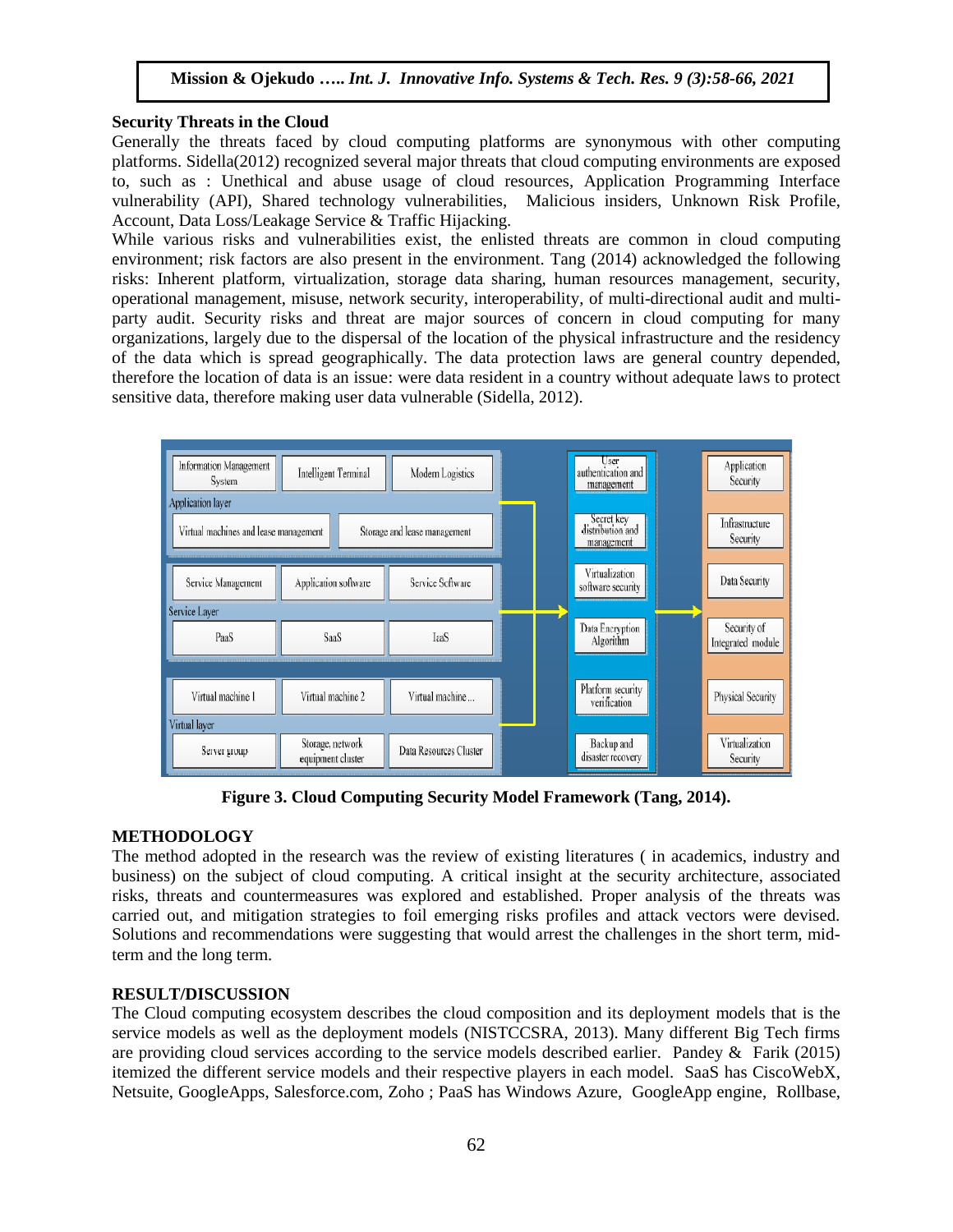#### **Security Threats in the Cloud**

Generally the threats faced by cloud computing platforms are synonymous with other computing platforms. Sidella(2012) recognized several major threats that cloud computing environments are exposed to, such as : Unethical and abuse usage of cloud resources, Application Programming Interface vulnerability (API), Shared technology vulnerabilities, Malicious insiders, Unknown Risk Profile, Account, Data Loss/Leakage Service & Traffic Hijacking.

While various risks and vulnerabilities exist, the enlisted threats are common in cloud computing environment; risk factors are also present in the environment. Tang (2014) acknowledged the following risks: Inherent platform, virtualization, storage data sharing, human resources management, security, operational management, misuse, network security, interoperability, of multi-directional audit and multiparty audit. Security risks and threat are major sources of concern in cloud computing for many organizations, largely due to the dispersal of the location of the physical infrastructure and the residency of the data which is spread geographically. The data protection laws are general country depended, therefore the location of data is an issue: were data resident in a country without adequate laws to protect sensitive data, therefore making user data vulnerable (Sidella, 2012).



**Figure 3. Cloud Computing Security Model Framework (Tang, 2014).**

## **METHODOLOGY**

The method adopted in the research was the review of existing literatures ( in academics, industry and business) on the subject of cloud computing. A critical insight at the security architecture, associated risks, threats and countermeasures was explored and established. Proper analysis of the threats was carried out, and mitigation strategies to foil emerging risks profiles and attack vectors were devised. Solutions and recommendations were suggesting that would arrest the challenges in the short term, midterm and the long term.

## **RESULT/DISCUSSION**

The Cloud computing ecosystem describes the cloud composition and its deployment models that is the service models as well as the deployment models (NISTCCSRA, 2013). Many different Big Tech firms are providing cloud services according to the service models described earlier. Pandey & Farik (2015) itemized the different service models and their respective players in each model. SaaS has CiscoWebX, Netsuite, GoogleApps, Salesforce.com, Zoho ; PaaS has Windows Azure, GoogleApp engine, Rollbase,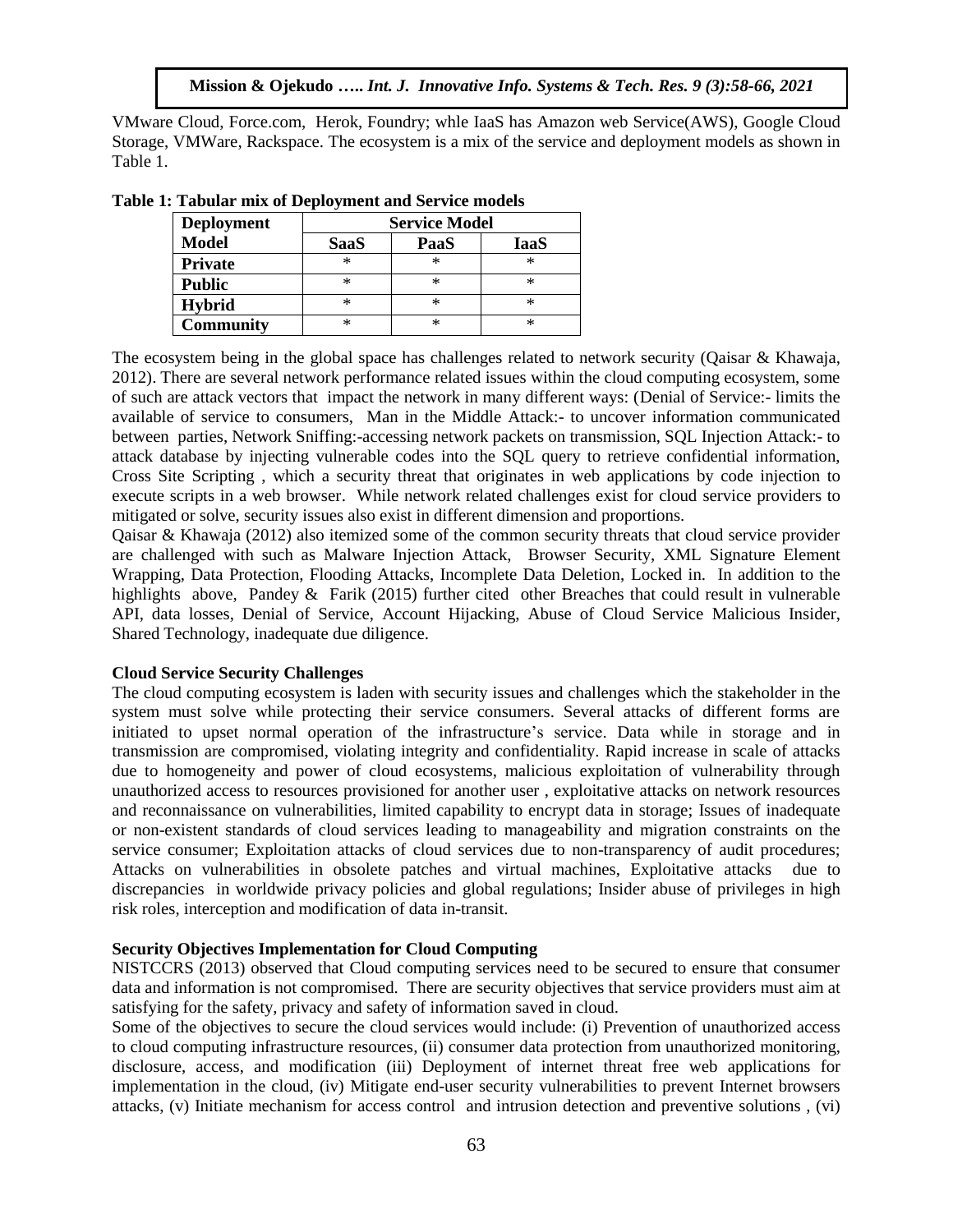VMware Cloud, Force.com, Herok, Foundry; whle IaaS has Amazon web Service(AWS), Google Cloud Storage, VMWare, Rackspace. The ecosystem is a mix of the service and deployment models as shown in Table 1.

| <b>Deployment</b> | <b>Service Model</b> |      |      |
|-------------------|----------------------|------|------|
| <b>Model</b>      | <b>SaaS</b>          | PaaS | IaaS |
| <b>Private</b>    | ∗                    | ×    | ×    |
| <b>Public</b>     | ∗                    | ×    | ×    |
| <b>Hybrid</b>     | ∗                    | ×    | ×    |
| <b>Community</b>  | ∗                    | ×    | ×    |

**Table 1: Tabular mix of Deployment and Service models**

The ecosystem being in the global space has challenges related to network security (Qaisar & Khawaja, 2012). There are several network performance related issues within the cloud computing ecosystem, some of such are attack vectors that impact the network in many different ways: (Denial of Service:- limits the available of service to consumers, Man in the Middle Attack:- to uncover information communicated between parties, Network Sniffing:-accessing network packets on transmission, SQL Injection Attack:- to attack database by injecting vulnerable codes into the SQL query to retrieve confidential information, Cross Site Scripting , which a security threat that originates in web applications by code injection to execute scripts in a web browser. While network related challenges exist for cloud service providers to mitigated or solve, security issues also exist in different dimension and proportions.

Qaisar & Khawaja (2012) also itemized some of the common security threats that cloud service provider are challenged with such as Malware Injection Attack, Browser Security, XML Signature Element Wrapping, Data Protection, Flooding Attacks, Incomplete Data Deletion, Locked in. In addition to the highlights above, Pandey & Farik (2015) further cited other Breaches that could result in vulnerable API, data losses, Denial of Service, Account Hijacking, Abuse of Cloud Service Malicious Insider, Shared Technology, inadequate due diligence.

#### **Cloud Service Security Challenges**

The cloud computing ecosystem is laden with security issues and challenges which the stakeholder in the system must solve while protecting their service consumers. Several attacks of different forms are initiated to upset normal operation of the infrastructure's service. Data while in storage and in transmission are compromised, violating integrity and confidentiality. Rapid increase in scale of attacks due to homogeneity and power of cloud ecosystems, malicious exploitation of vulnerability through unauthorized access to resources provisioned for another user , exploitative attacks on network resources and reconnaissance on vulnerabilities, limited capability to encrypt data in storage; Issues of inadequate or non-existent standards of cloud services leading to manageability and migration constraints on the service consumer; Exploitation attacks of cloud services due to non-transparency of audit procedures; Attacks on vulnerabilities in obsolete patches and virtual machines, Exploitative attacks due to discrepancies in worldwide privacy policies and global regulations; Insider abuse of privileges in high risk roles, interception and modification of data in-transit.

## **Security Objectives Implementation for Cloud Computing**

NISTCCRS (2013) observed that Cloud computing services need to be secured to ensure that consumer data and information is not compromised. There are security objectives that service providers must aim at satisfying for the safety, privacy and safety of information saved in cloud.

Some of the objectives to secure the cloud services would include: (i) Prevention of unauthorized access to cloud computing infrastructure resources, (ii) consumer data protection from unauthorized monitoring, disclosure, access, and modification (iii) Deployment of internet threat free web applications for implementation in the cloud, (iv) Mitigate end-user security vulnerabilities to prevent Internet browsers attacks, (v) Initiate mechanism for access control and intrusion detection and preventive solutions , (vi)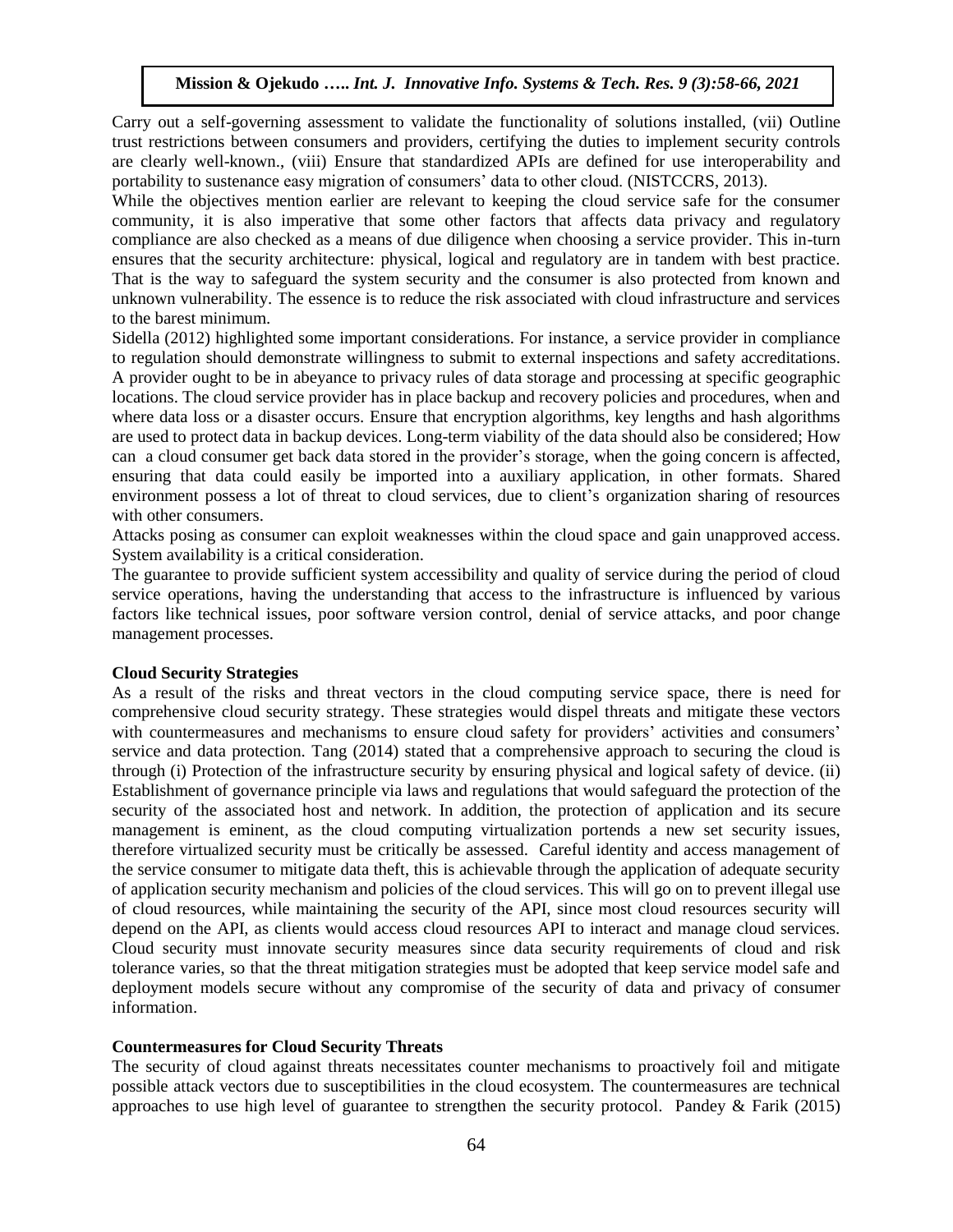Carry out a self-governing assessment to validate the functionality of solutions installed, (vii) Outline trust restrictions between consumers and providers, certifying the duties to implement security controls are clearly well-known., (viii) Ensure that standardized APIs are defined for use interoperability and portability to sustenance easy migration of consumers' data to other cloud. (NISTCCRS, 2013).

While the objectives mention earlier are relevant to keeping the cloud service safe for the consumer community, it is also imperative that some other factors that affects data privacy and regulatory compliance are also checked as a means of due diligence when choosing a service provider. This in-turn ensures that the security architecture: physical, logical and regulatory are in tandem with best practice. That is the way to safeguard the system security and the consumer is also protected from known and unknown vulnerability. The essence is to reduce the risk associated with cloud infrastructure and services to the barest minimum.

Sidella (2012) highlighted some important considerations. For instance, a service provider in compliance to regulation should demonstrate willingness to submit to external inspections and safety accreditations. A provider ought to be in abeyance to privacy rules of data storage and processing at specific geographic locations. The cloud service provider has in place backup and recovery policies and procedures, when and where data loss or a disaster occurs. Ensure that encryption algorithms, key lengths and hash algorithms are used to protect data in backup devices. Long-term viability of the data should also be considered; How can a cloud consumer get back data stored in the provider's storage, when the going concern is affected, ensuring that data could easily be imported into a auxiliary application, in other formats. Shared environment possess a lot of threat to cloud services, due to client's organization sharing of resources with other consumers.

Attacks posing as consumer can exploit weaknesses within the cloud space and gain unapproved access. System availability is a critical consideration.

The guarantee to provide sufficient system accessibility and quality of service during the period of cloud service operations, having the understanding that access to the infrastructure is influenced by various factors like technical issues, poor software version control, denial of service attacks, and poor change management processes.

#### **Cloud Security Strategies**

As a result of the risks and threat vectors in the cloud computing service space, there is need for comprehensive cloud security strategy. These strategies would dispel threats and mitigate these vectors with countermeasures and mechanisms to ensure cloud safety for providers' activities and consumers' service and data protection. Tang (2014) stated that a comprehensive approach to securing the cloud is through (i) Protection of the infrastructure security by ensuring physical and logical safety of device. (ii) Establishment of governance principle via laws and regulations that would safeguard the protection of the security of the associated host and network. In addition, the protection of application and its secure management is eminent, as the cloud computing virtualization portends a new set security issues, therefore virtualized security must be critically be assessed. Careful identity and access management of the service consumer to mitigate data theft, this is achievable through the application of adequate security of application security mechanism and policies of the cloud services. This will go on to prevent illegal use of cloud resources, while maintaining the security of the API, since most cloud resources security will depend on the API, as clients would access cloud resources API to interact and manage cloud services. Cloud security must innovate security measures since data security requirements of cloud and risk tolerance varies, so that the threat mitigation strategies must be adopted that keep service model safe and deployment models secure without any compromise of the security of data and privacy of consumer information.

#### **Countermeasures for Cloud Security Threats**

The security of cloud against threats necessitates counter mechanisms to proactively foil and mitigate possible attack vectors due to susceptibilities in the cloud ecosystem. The countermeasures are technical approaches to use high level of guarantee to strengthen the security protocol. Pandey & Farik (2015)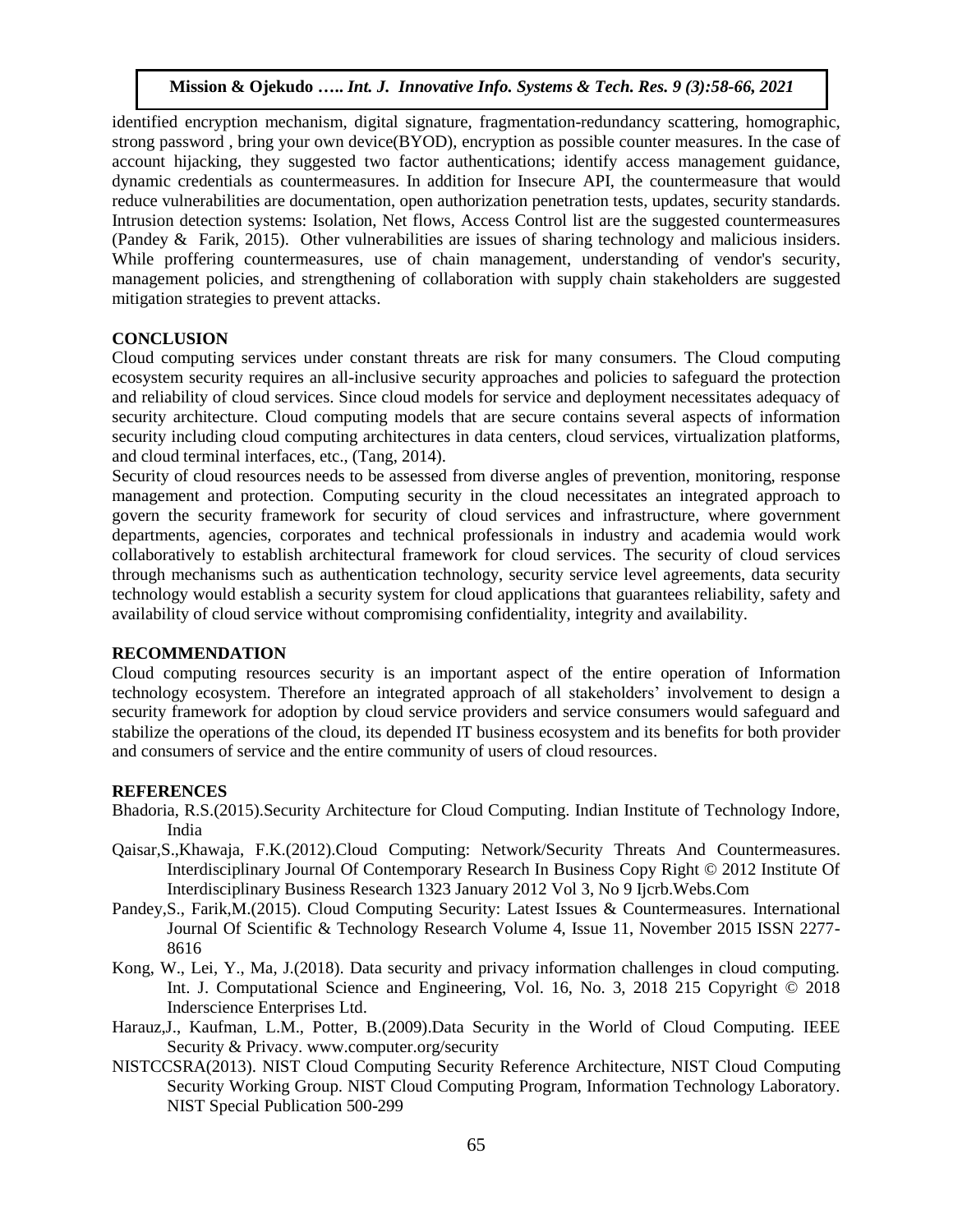identified encryption mechanism, digital signature, fragmentation-redundancy scattering, homographic, strong password , bring your own device(BYOD), encryption as possible counter measures. In the case of account hijacking, they suggested two factor authentications; identify access management guidance, dynamic credentials as countermeasures. In addition for Insecure API, the countermeasure that would reduce vulnerabilities are documentation, open authorization penetration tests, updates, security standards. Intrusion detection systems: Isolation, Net flows, Access Control list are the suggested countermeasures (Pandey & Farik, 2015). Other vulnerabilities are issues of sharing technology and malicious insiders. While proffering countermeasures, use of chain management, understanding of vendor's security, management policies, and strengthening of collaboration with supply chain stakeholders are suggested mitigation strategies to prevent attacks.

## **CONCLUSION**

Cloud computing services under constant threats are risk for many consumers. The Cloud computing ecosystem security requires an all-inclusive security approaches and policies to safeguard the protection and reliability of cloud services. Since cloud models for service and deployment necessitates adequacy of security architecture. Cloud computing models that are secure contains several aspects of information security including cloud computing architectures in data centers, cloud services, virtualization platforms, and cloud terminal interfaces, etc., (Tang, 2014).

Security of cloud resources needs to be assessed from diverse angles of prevention, monitoring, response management and protection. Computing security in the cloud necessitates an integrated approach to govern the security framework for security of cloud services and infrastructure, where government departments, agencies, corporates and technical professionals in industry and academia would work collaboratively to establish architectural framework for cloud services. The security of cloud services through mechanisms such as authentication technology, security service level agreements, data security technology would establish a security system for cloud applications that guarantees reliability, safety and availability of cloud service without compromising confidentiality, integrity and availability.

## **RECOMMENDATION**

Cloud computing resources security is an important aspect of the entire operation of Information technology ecosystem. Therefore an integrated approach of all stakeholders' involvement to design a security framework for adoption by cloud service providers and service consumers would safeguard and stabilize the operations of the cloud, its depended IT business ecosystem and its benefits for both provider and consumers of service and the entire community of users of cloud resources.

## **REFERENCES**

- Bhadoria, R.S.(2015).Security Architecture for Cloud Computing. Indian Institute of Technology Indore, India
- Qaisar,S.,Khawaja, F.K.(2012).Cloud Computing: Network/Security Threats And Countermeasures. Interdisciplinary Journal Of Contemporary Research In Business Copy Right © 2012 Institute Of Interdisciplinary Business Research 1323 January 2012 Vol 3, No 9 Ijcrb.Webs.Com
- Pandey,S., Farik,M.(2015). Cloud Computing Security: Latest Issues & Countermeasures. International Journal Of Scientific & Technology Research Volume 4, Issue 11, November 2015 ISSN 2277- 8616
- Kong, W., Lei, Y., Ma, J.(2018). Data security and privacy information challenges in cloud computing. Int. J. Computational Science and Engineering, Vol. 16, No. 3, 2018 215 Copyright © 2018 Inderscience Enterprises Ltd.
- Harauz,J., Kaufman, L.M., Potter, B.(2009).Data Security in the World of Cloud Computing. IEEE Security & Privacy. www.computer.org/security
- NISTCCSRA(2013). NIST Cloud Computing Security Reference Architecture, NIST Cloud Computing Security Working Group. NIST Cloud Computing Program, Information Technology Laboratory. NIST Special Publication 500-299